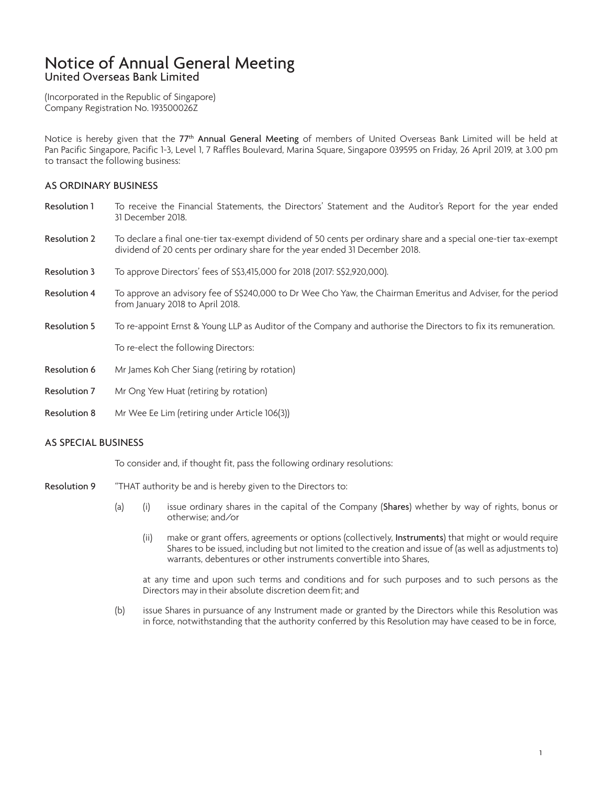# Notice of Annual General Meeting United Overseas Bank Limited

(Incorporated in the Republic of Singapore) Company Registration No. 193500026Z

Notice is hereby given that the 77<sup>th</sup> Annual General Meeting of members of United Overseas Bank Limited will be held at Pan Pacific Singapore, Pacific 1-3, Level 1, 7 Raffles Boulevard, Marina Square, Singapore 039595 on Friday, 26 April 2019, at 3.00 pm to transact the following business:

## AS ORDINARY BUSINESS

- Resolution 1 To receive the Financial Statements, the Directors' Statement and the Auditor's Report for the year ended 31 December 2018.
- Resolution 2 To declare a final one-tier tax-exempt dividend of 50 cents per ordinary share and a special one-tier tax-exempt dividend of 20 cents per ordinary share for the year ended 31 December 2018.
- Resolution 3 To approve Directors' fees of S\$3,415,000 for 2018 (2017: S\$2,920,000).
- Resolution 4 To approve an advisory fee of S\$240,000 to Dr Wee Cho Yaw, the Chairman Emeritus and Adviser, for the period from January 2018 to April 2018.
- Resolution 5 To re-appoint Ernst & Young LLP as Auditor of the Company and authorise the Directors to fix its remuneration.

To re-elect the following Directors:

- Resolution 6 Mr James Koh Cher Siang (retiring by rotation)
- Resolution 7 Mr Ong Yew Huat (retiring by rotation)
- Resolution 8 Mr Wee Ee Lim (retiring under Article 106(3))

### AS SPECIAL BUSINESS

To consider and, if thought fit, pass the following ordinary resolutions:

- Resolution 9 "THAT authority be and is hereby given to the Directors to:
	- (a) (i) issue ordinary shares in the capital of the Company (Shares) whether by way of rights, bonus or otherwise; and/or
		- (ii) make or grant offers, agreements or options (collectively, Instruments) that might or would require Shares to be issued, including but not limited to the creation and issue of (as well as adjustments to) warrants, debentures or other instruments convertible into Shares,

at any time and upon such terms and conditions and for such purposes and to such persons as the Directors may in their absolute discretion deem fit; and

(b) issue Shares in pursuance of any Instrument made or granted by the Directors while this Resolution was in force, notwithstanding that the authority conferred by this Resolution may have ceased to be in force,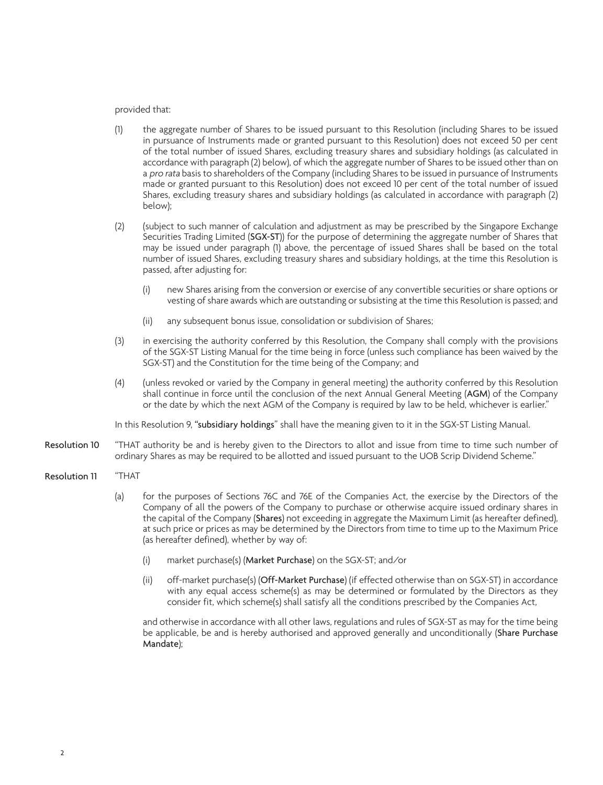#### provided that:

- (1) the aggregate number of Shares to be issued pursuant to this Resolution (including Shares to be issued in pursuance of Instruments made or granted pursuant to this Resolution) does not exceed 50 per cent of the total number of issued Shares, excluding treasury shares and subsidiary holdings (as calculated in accordance with paragraph (2) below), of which the aggregate number of Shares to be issued other than on a pro rata basis to shareholders of the Company (including Shares to be issued in pursuance of Instruments made or granted pursuant to this Resolution) does not exceed 10 per cent of the total number of issued Shares, excluding treasury shares and subsidiary holdings (as calculated in accordance with paragraph (2) below);
- (2) (subject to such manner of calculation and adjustment as may be prescribed by the Singapore Exchange Securities Trading Limited (SGX-ST)) for the purpose of determining the aggregate number of Shares that may be issued under paragraph (1) above, the percentage of issued Shares shall be based on the total number of issued Shares, excluding treasury shares and subsidiary holdings, at the time this Resolution is passed, after adjusting for:
	- (i) new Shares arising from the conversion or exercise of any convertible securities or share options or vesting of share awards which are outstanding or subsisting at the time this Resolution is passed; and
	- (ii) any subsequent bonus issue, consolidation or subdivision of Shares;
- (3) in exercising the authority conferred by this Resolution, the Company shall comply with the provisions of the SGX-ST Listing Manual for the time being in force (unless such compliance has been waived by the SGX-ST) and the Constitution for the time being of the Company; and
- (4) (unless revoked or varied by the Company in general meeting) the authority conferred by this Resolution shall continue in force until the conclusion of the next Annual General Meeting (AGM) of the Company or the date by which the next AGM of the Company is required by law to be held, whichever is earlier."

In this Resolution 9, "subsidiary holdings" shall have the meaning given to it in the SGX-ST Listing Manual.

- Resolution 10 "THAT authority be and is hereby given to the Directors to allot and issue from time to time such number of ordinary Shares as may be required to be allotted and issued pursuant to the UOB Scrip Dividend Scheme."
- Resolution 11 "THAT
	- (a) for the purposes of Sections 76C and 76E of the Companies Act, the exercise by the Directors of the Company of all the powers of the Company to purchase or otherwise acquire issued ordinary shares in the capital of the Company (Shares) not exceeding in aggregate the Maximum Limit (as hereafter defined), at such price or prices as may be determined by the Directors from time to time up to the Maximum Price (as hereafter defined), whether by way of:
		- (i) market purchase(s) (Market Purchase) on the SGX-ST; and/or
		- (ii) off-market purchase(s) (Off-Market Purchase) (if effected otherwise than on SGX-ST) in accordance with any equal access scheme(s) as may be determined or formulated by the Directors as they consider fit, which scheme(s) shall satisfy all the conditions prescribed by the Companies Act,

and otherwise in accordance with all other laws, regulations and rules of SGX-ST as may for the time being be applicable, be and is hereby authorised and approved generally and unconditionally (Share Purchase Mandate);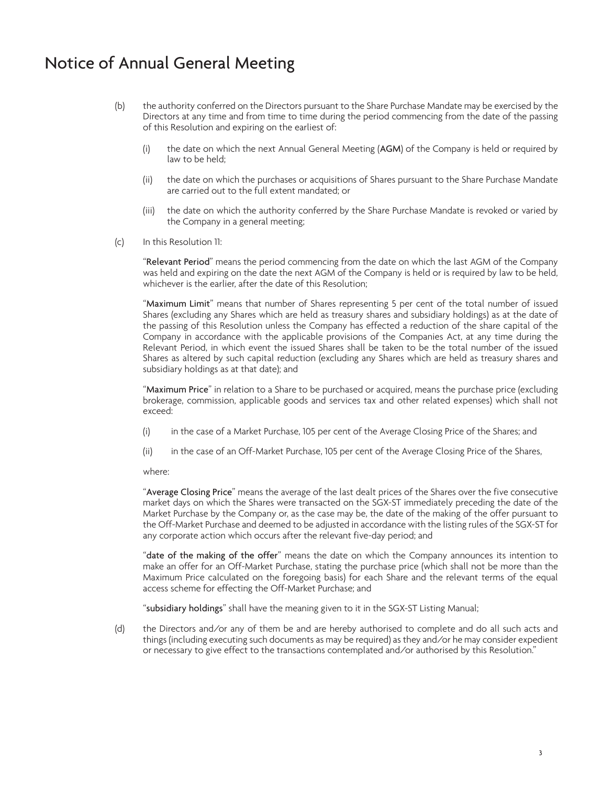# Notice of Annual General Meeting

- (b) the authority conferred on the Directors pursuant to the Share Purchase Mandate may be exercised by the Directors at any time and from time to time during the period commencing from the date of the passing of this Resolution and expiring on the earliest of:
	- (i) the date on which the next Annual General Meeting (AGM) of the Company is held or required by law to be held;
	- (ii) the date on which the purchases or acquisitions of Shares pursuant to the Share Purchase Mandate are carried out to the full extent mandated; or
	- (iii) the date on which the authority conferred by the Share Purchase Mandate is revoked or varied by the Company in a general meeting;
- (c) In this Resolution 11:

"Relevant Period" means the period commencing from the date on which the last AGM of the Company was held and expiring on the date the next AGM of the Company is held or is required by law to be held, whichever is the earlier, after the date of this Resolution;

"Maximum Limit" means that number of Shares representing 5 per cent of the total number of issued Shares (excluding any Shares which are held as treasury shares and subsidiary holdings) as at the date of the passing of this Resolution unless the Company has effected a reduction of the share capital of the Company in accordance with the applicable provisions of the Companies Act, at any time during the Relevant Period, in which event the issued Shares shall be taken to be the total number of the issued Shares as altered by such capital reduction (excluding any Shares which are held as treasury shares and subsidiary holdings as at that date); and

"Maximum Price" in relation to a Share to be purchased or acquired, means the purchase price (excluding brokerage, commission, applicable goods and services tax and other related expenses) which shall not exceed:

- (i) in the case of a Market Purchase, 105 per cent of the Average Closing Price of the Shares; and
- (ii) in the case of an Off-Market Purchase, 105 per cent of the Average Closing Price of the Shares,

where:

"Average Closing Price" means the average of the last dealt prices of the Shares over the five consecutive market days on which the Shares were transacted on the SGX-ST immediately preceding the date of the Market Purchase by the Company or, as the case may be, the date of the making of the offer pursuant to the Off-Market Purchase and deemed to be adjusted in accordance with the listing rules of the SGX-ST for any corporate action which occurs after the relevant five-day period; and

"date of the making of the offer" means the date on which the Company announces its intention to make an offer for an Off-Market Purchase, stating the purchase price (which shall not be more than the Maximum Price calculated on the foregoing basis) for each Share and the relevant terms of the equal access scheme for effecting the Off-Market Purchase; and

"subsidiary holdings" shall have the meaning given to it in the SGX-ST Listing Manual;

(d) the Directors and/or any of them be and are hereby authorised to complete and do all such acts and things (including executing such documents as may be required) as they and/or he may consider expedient or necessary to give effect to the transactions contemplated and/or authorised by this Resolution."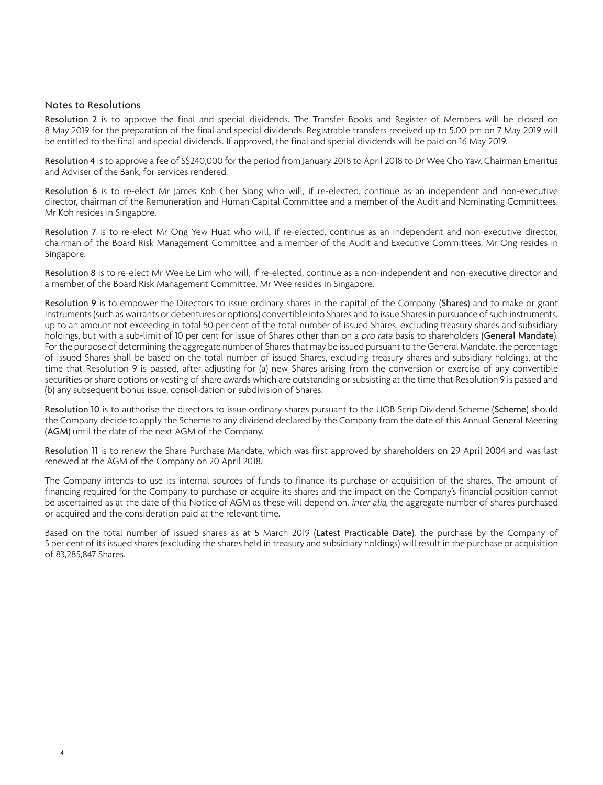#### Notes to Resolutions

Resolution 2 is to approve the final and special dividends. The Transfer Books and Register of Members will be closed on 8 May 2019 for the preparation of the final and special dividends. Registrable transfers received up to 5.00 pm on 7 May 2019 will be entitled to the final and special dividends. If approved, the final and special dividends will be paid on 16 May 2019.

Resolution 4 is to approve a fee of S\$240,000 for the period from January 2018 to April 2018 to Dr Wee Cho Yaw, Chairman Emeritus and Adviser of the Bank, for services rendered.

Resolution 6 is to re-elect Mr James Koh Cher Siang who will, if re-elected, continue as an independent and non-executive director, chairman of the Remuneration and Human Capital Committee and a member of the Audit and Nominating Committees. Mr Koh resides in Singapore.

Resolution 7 is to re-elect Mr Ong Yew Huat who will, if re-elected, continue as an independent and non-executive director, chairman of the Board Risk Management Committee and a member of the Audit and Executive Committees. Mr Ong resides in Singapore.

Resolution 8 is to re-elect Mr Wee Ee Lim who will, if re-elected, continue as a non-independent and non-executive director and a member of the Board Risk Management Committee. Mr Wee resides in Singapore.

Resolution 9 is to empower the Directors to issue ordinary shares in the capital of the Company (Shares) and to make or grant instruments (such as warrants or debentures or options) convertible into Shares and to issue Shares in pursuance of such instruments, up to an amount not exceeding in total 50 per cent of the total number of issued Shares, excluding treasury shares and subsidiary holdings, but with a sub-limit of 10 per cent for issue of Shares other than on a *pro rata* basis to shareholders (General Mandate). For the purpose of determining the aggregate number of Shares that may be issued pursuant to the General Mandate, the percentage of issued Shares shall be based on the total number of issued Shares, excluding treasury shares and subsidiary holdings, at the time that Resolution 9 is passed, after adjusting for (a) new Shares arising from the conversion or exercise of any convertible securities or share options or vesting of share awards which are outstanding or subsisting at the time that Resolution 9 is passed and (b) any subsequent bonus issue, consolidation or subdivision of Shares.

Resolution 10 is to authorise the directors to issue ordinary shares pursuant to the UOB Scrip Dividend Scheme (Scheme) should the Company decide to apply the Scheme to any dividend declared by the Company from the date of this Annual General Meeting (AGM) until the date of the next AGM of the Company.

Resolution 11 is to renew the Share Purchase Mandate, which was first approved by shareholders on 29 April 2004 and was last renewed at the AGM of the Company on 20 April 2018.

The Company intends to use its internal sources of funds to finance its purchase or acquisition of the shares. The amount of financing required for the Company to purchase or acquire its shares and the impact on the Company's financial position cannot be ascertained as at the date of this Notice of AGM as these will depend on, *inter alia*, the aggregate number of shares purchased or acquired and the consideration paid at the relevant time.

Based on the total number of issued shares as at 5 March 2019 (Latest Practicable Date), the purchase by the Company of 5 per cent of its issued shares (excluding the shares held in treasury and subsidiary holdings) will result in the purchase or acquisition of 83,285,847 Shares.